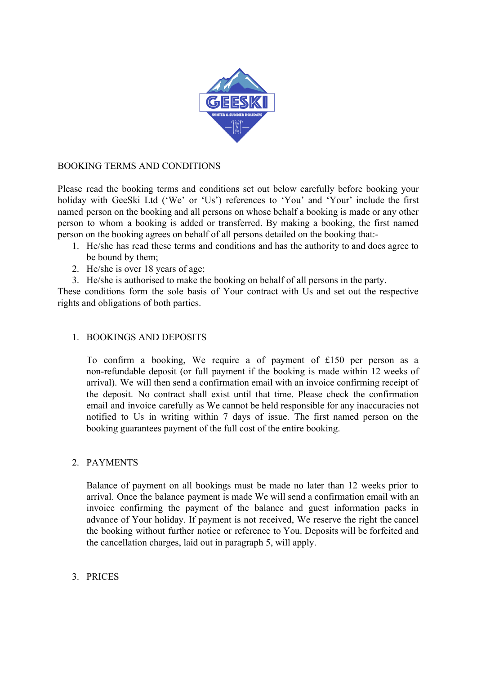

### BOOKING TERMS AND CONDITIONS

Please read the booking terms and conditions set out below carefully before booking your holiday with GeeSki Ltd ('We' or 'Us') references to 'You' and 'Your' include the first named person on the booking and all persons on whose behalf a booking is made or any other person to whom a booking is added or transferred. By making a booking, the first named person on the booking agrees on behalf of all persons detailed on the booking that:-

- 1. He/she has read these terms and conditions and has the authority to and does agree to be bound by them;
- 2. He/she is over 18 years of age;
- 3. He/she is authorised to make the booking on behalf of all persons in the party.

These conditions form the sole basis of Your contract with Us and set out the respective rights and obligations of both parties.

### 1. BOOKINGS AND DEPOSITS

To confirm a booking, We require a of payment of £150 per person as a non-refundable deposit (or full payment if the booking is made within 12 weeks of arrival). We will then send a confirmation email with an invoice confirming receipt of the deposit. No contract shall exist until that time. Please check the confirmation email and invoice carefully as We cannot be held responsible for any inaccuracies not notified to Us in writing within 7 days of issue. The first named person on the booking guarantees payment of the full cost of the entire booking.

## 2. PAYMENTS

Balance of payment on all bookings must be made no later than 12 weeks prior to arrival. Once the balance payment is made We will send a confirmation email with an invoice confirming the payment of the balance and guest information packs in advance of Your holiday. If payment is not received, We reserve the right the cancel the booking without further notice or reference to You. Deposits will be forfeited and the cancellation charges, laid out in paragraph 5, will apply.

# 3. PRICES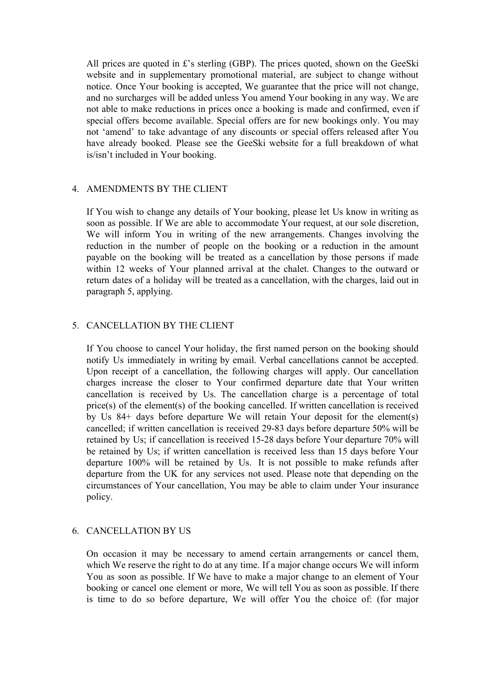All prices are quoted in £'s sterling (GBP). The prices quoted, shown on the GeeSki website and in supplementary promotional material, are subject to change without notice. Once Your booking is accepted, We guarantee that the price will not change, and no surcharges will be added unless You amend Your booking in any way. We are not able to make reductions in prices once a booking is made and confirmed, even if special offers become available. Special offers are for new bookings only. You may not 'amend' to take advantage of any discounts or special offers released after You have already booked. Please see the GeeSki website for a full breakdown of what is/isn't included in Your booking.

## 4. AMENDMENTS BY THE CLIENT

If You wish to change any details of Your booking, please let Us know in writing as soon as possible. If We are able to accommodate Your request, at our sole discretion, We will inform You in writing of the new arrangements. Changes involving the reduction in the number of people on the booking or a reduction in the amount payable on the booking will be treated as a cancellation by those persons if made within 12 weeks of Your planned arrival at the chalet. Changes to the outward or return dates of a holiday will be treated as a cancellation, with the charges, laid out in paragraph 5, applying.

## 5. CANCELLATION BY THE CLIENT

If You choose to cancel Your holiday, the first named person on the booking should notify Us immediately in writing by email. Verbal cancellations cannot be accepted. Upon receipt of a cancellation, the following charges will apply. Our cancellation charges increase the closer to Your confirmed departure date that Your written cancellation is received by Us. The cancellation charge is a percentage of total price(s) of the element(s) of the booking cancelled. If written cancellation is received by Us 84+ days before departure We will retain Your deposit for the element(s) cancelled; if written cancellation is received 29-83 days before departure 50% will be retained by Us; if cancellation is received 15-28 days before Your departure 70% will be retained by Us; if written cancellation is received less than 15 days before Your departure 100% will be retained by Us. It is not possible to make refunds after departure from the UK for any services not used. Please note that depending on the circumstances of Your cancellation, You may be able to claim under Your insurance policy.

# 6. CANCELLATION BY US

On occasion it may be necessary to amend certain arrangements or cancel them, which We reserve the right to do at any time. If a major change occurs We will inform You as soon as possible. If We have to make a major change to an element of Your booking or cancel one element or more, We will tell You as soon as possible. If there is time to do so before departure, We will offer You the choice of: (for major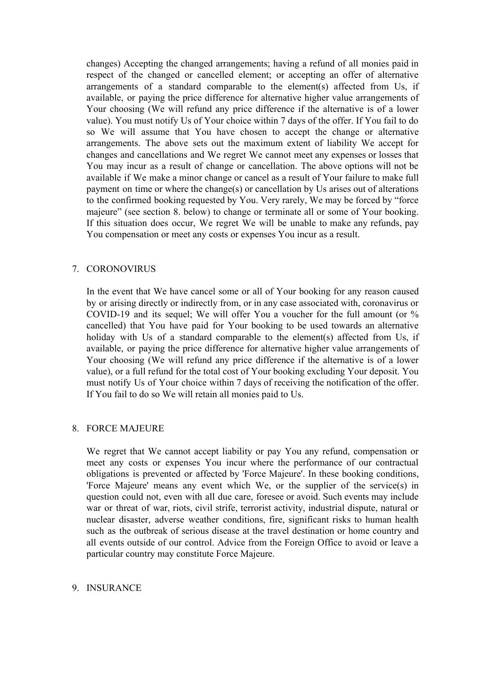changes) Accepting the changed arrangements; having a refund of all monies paid in respect of the changed or cancelled element; or accepting an offer of alternative arrangements of a standard comparable to the element(s) affected from Us, if available, or paying the price difference for alternative higher value arrangements of Your choosing (We will refund any price difference if the alternative is of a lower value). You must notify Us of Your choice within 7 days of the offer. If You fail to do so We will assume that You have chosen to accept the change or alternative arrangements. The above sets out the maximum extent of liability We accept for changes and cancellations and We regret We cannot meet any expenses or losses that You may incur as a result of change or cancellation. The above options will not be available if We make a minor change or cancel as a result of Your failure to make full payment on time or where the change(s) or cancellation by Us arises out of alterations to the confirmed booking requested by You. Very rarely, We may be forced by "force majeure" (see section 8. below) to change or terminate all or some of Your booking. If this situation does occur, We regret We will be unable to make any refunds, pay You compensation or meet any costs or expenses You incur as a result.

### 7. CORONOVIRUS

In the event that We have cancel some or all of Your booking for any reason caused by or arising directly or indirectly from, or in any case associated with, coronavirus or COVID-19 and its sequel; We will offer You a voucher for the full amount (or % cancelled) that You have paid for Your booking to be used towards an alternative holiday with Us of a standard comparable to the element(s) affected from Us, if available, or paying the price difference for alternative higher value arrangements of Your choosing (We will refund any price difference if the alternative is of a lower value), or a full refund for the total cost of Your booking excluding Your deposit. You must notify Us of Your choice within 7 days of receiving the notification of the offer. If You fail to do so We will retain all monies paid to Us.

### 8. FORCE MAJEURE

We regret that We cannot accept liability or pay You any refund, compensation or meet any costs or expenses You incur where the performance of our contractual obligations is prevented or affected by 'Force Majeure'. In these booking conditions, 'Force Majeure' means any event which We, or the supplier of the service(s) in question could not, even with all due care, foresee or avoid. Such events may include war or threat of war, riots, civil strife, terrorist activity, industrial dispute, natural or nuclear disaster, adverse weather conditions, fire, significant risks to human health such as the outbreak of serious disease at the travel destination or home country and all events outside of our control. Advice from the Foreign Office to avoid or leave a particular country may constitute Force Majeure.

### 9. INSURANCE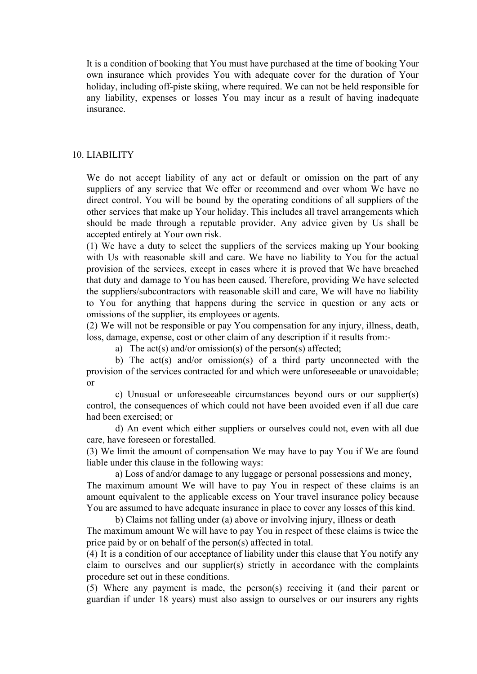It is a condition of booking that You must have purchased at the time of booking Your own insurance which provides You with adequate cover for the duration of Your holiday, including off-piste skiing, where required. We can not be held responsible for any liability, expenses or losses You may incur as a result of having inadequate insurance.

#### 10. LIABILITY

We do not accept liability of any act or default or omission on the part of any suppliers of any service that We offer or recommend and over whom We have no direct control. You will be bound by the operating conditions of all suppliers of the other services that make up Your holiday. This includes all travel arrangements which should be made through a reputable provider. Any advice given by Us shall be accepted entirely at Your own risk.

(1) We have a duty to select the suppliers of the services making up Your booking with Us with reasonable skill and care. We have no liability to You for the actual provision of the services, except in cases where it is proved that We have breached that duty and damage to You has been caused. Therefore, providing We have selected the suppliers/subcontractors with reasonable skill and care, We will have no liability to You for anything that happens during the service in question or any acts or omissions of the supplier, its employees or agents.

(2) We will not be responsible or pay You compensation for any injury, illness, death, loss, damage, expense, cost or other claim of any description if it results from:-

a) The act(s) and/or omission(s) of the person(s) affected;

b) The  $act(s)$  and/or omission(s) of a third party unconnected with the provision of the services contracted for and which were unforeseeable or unavoidable; or

c) Unusual or unforeseeable circumstances beyond ours or our supplier(s) control, the consequences of which could not have been avoided even if all due care had been exercised; or

d) An event which either suppliers or ourselves could not, even with all due care, have foreseen or forestalled.

(3) We limit the amount of compensation We may have to pay You if We are found liable under this clause in the following ways:

a) Loss of and/or damage to any luggage or personal possessions and money, The maximum amount We will have to pay You in respect of these claims is an amount equivalent to the applicable excess on Your travel insurance policy because You are assumed to have adequate insurance in place to cover any losses of this kind.

b) Claims not falling under (a) above or involving injury, illness or death The maximum amount We will have to pay You in respect of these claims is twice the price paid by or on behalf of the person(s) affected in total.

(4) It is a condition of our acceptance of liability under this clause that You notify any claim to ourselves and our supplier(s) strictly in accordance with the complaints procedure set out in these conditions.

(5) Where any payment is made, the person(s) receiving it (and their parent or guardian if under 18 years) must also assign to ourselves or our insurers any rights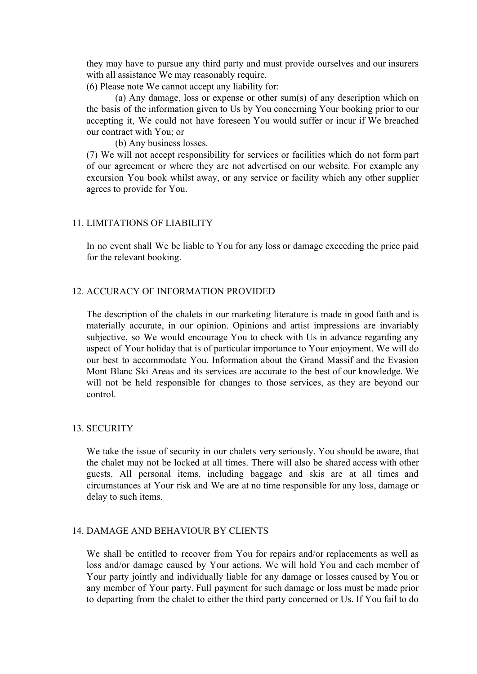they may have to pursue any third party and must provide ourselves and our insurers with all assistance We may reasonably require.

(6) Please note We cannot accept any liability for:

(a) Any damage, loss or expense or other sum(s) of any description which on the basis of the information given to Us by You concerning Your booking prior to our accepting it, We could not have foreseen You would suffer or incur if We breached our contract with You; or

(b) Any business losses.

(7) We will not accept responsibility for services or facilities which do not form part of our agreement or where they are not advertised on our website. For example any excursion You book whilst away, or any service or facility which any other supplier agrees to provide for You.

### 11. LIMITATIONS OF LIABILITY

In no event shall We be liable to You for any loss or damage exceeding the price paid for the relevant booking.

### 12. ACCURACY OF INFORMATION PROVIDED

The description of the chalets in our marketing literature is made in good faith and is materially accurate, in our opinion. Opinions and artist impressions are invariably subjective, so We would encourage You to check with Us in advance regarding any aspect of Your holiday that is of particular importance to Your enjoyment. We will do our best to accommodate You. Information about the Grand Massif and the Evasion Mont Blanc Ski Areas and its services are accurate to the best of our knowledge. We will not be held responsible for changes to those services, as they are beyond our control.

### 13. SECURITY

We take the issue of security in our chalets very seriously. You should be aware, that the chalet may not be locked at all times. There will also be shared access with other guests. All personal items, including baggage and skis are at all times and circumstances at Your risk and We are at no time responsible for any loss, damage or delay to such items.

### 14. DAMAGE AND BEHAVIOUR BY CLIENTS

We shall be entitled to recover from You for repairs and/or replacements as well as loss and/or damage caused by Your actions. We will hold You and each member of Your party jointly and individually liable for any damage or losses caused by You or any member of Your party. Full payment for such damage or loss must be made prior to departing from the chalet to either the third party concerned or Us. If You fail to do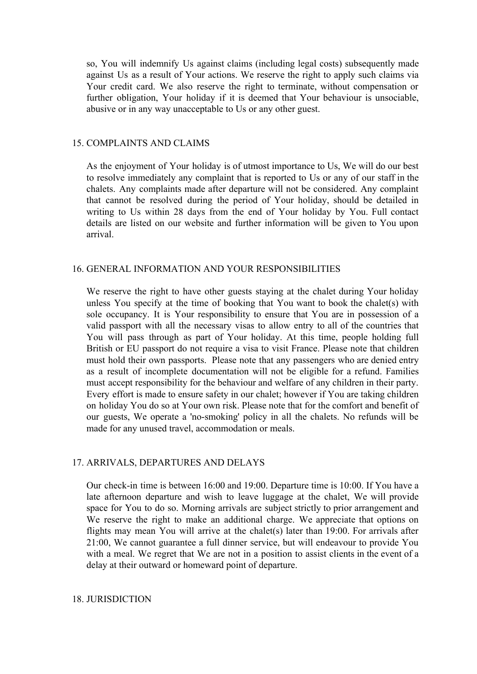so, You will indemnify Us against claims (including legal costs) subsequently made against Us as a result of Your actions. We reserve the right to apply such claims via Your credit card. We also reserve the right to terminate, without compensation or further obligation, Your holiday if it is deemed that Your behaviour is unsociable, abusive or in any way unacceptable to Us or any other guest.

#### 15. COMPLAINTS AND CLAIMS

As the enjoyment of Your holiday is of utmost importance to Us, We will do our best to resolve immediately any complaint that is reported to Us or any of our staff in the chalets. Any complaints made after departure will not be considered. Any complaint that cannot be resolved during the period of Your holiday, should be detailed in writing to Us within 28 days from the end of Your holiday by You. Full contact details are listed on our website and further information will be given to You upon arrival.

#### 16. GENERAL INFORMATION AND YOUR RESPONSIBILITIES

We reserve the right to have other guests staying at the chalet during Your holiday unless You specify at the time of booking that You want to book the chalet(s) with sole occupancy. It is Your responsibility to ensure that You are in possession of a valid passport with all the necessary visas to allow entry to all of the countries that You will pass through as part of Your holiday. At this time, people holding full British or EU passport do not require a visa to visit France. Please note that children must hold their own passports. Please note that any passengers who are denied entry as a result of incomplete documentation will not be eligible for a refund. Families must accept responsibility for the behaviour and welfare of any children in their party. Every effort is made to ensure safety in our chalet; however if You are taking children on holiday You do so at Your own risk. Please note that for the comfort and benefit of our guests, We operate a 'no-smoking' policy in all the chalets. No refunds will be made for any unused travel, accommodation or meals.

### 17. ARRIVALS, DEPARTURES AND DELAYS

Our check-in time is between 16:00 and 19:00. Departure time is 10:00. If You have a late afternoon departure and wish to leave luggage at the chalet, We will provide space for You to do so. Morning arrivals are subject strictly to prior arrangement and We reserve the right to make an additional charge. We appreciate that options on flights may mean You will arrive at the chalet(s) later than 19:00. For arrivals after 21:00, We cannot guarantee a full dinner service, but will endeavour to provide You with a meal. We regret that We are not in a position to assist clients in the event of a delay at their outward or homeward point of departure.

#### 18. JURISDICTION